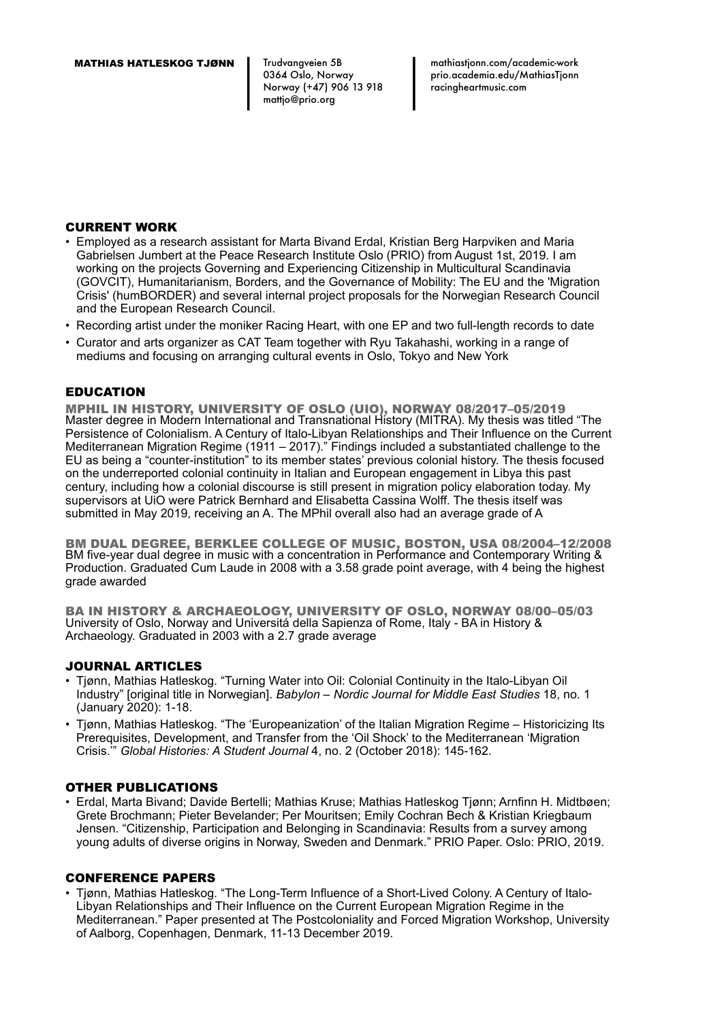Trudvangveien 5B 0364 Oslo, Norway Norway (+47) 906 13 918 mattjo@prio.org

mathiastjonn.com/academic-work prio.academia.edu/MathiasTjonn racingheartmusic.com

### CURRENT WORK

- Employed as a research assistant for Marta Bivand Erdal, Kristian Berg Harpviken and Maria Gabrielsen Jumbert at the Peace Research Institute Oslo (PRIO) from August 1st, 2019. I am working on the projects Governing and Experiencing Citizenship in Multicultural Scandinavia (GOVCIT), Humanitarianism, Borders, and the Governance of Mobility: The EU and the 'Migration Crisis' (humBORDER) and several internal project proposals for the Norwegian Research Council and the European Research Council.
- Recording artist under the moniker Racing Heart, with one EP and two full-length records to date
- Curator and arts organizer as CAT Team together with Ryu Takahashi, working in a range of mediums and focusing on arranging cultural events in Oslo, Tokyo and New York

# EDUCATION

MPHIL IN HISTORY, UNIVERSITY OF OSLO (UIO), NORWAY 08/2017–05/2019 Master degree in Modern International and Transnational History (MITRA). My thesis was titled "The Persistence of Colonialism. A Century of Italo-Libyan Relationships and Their Influence on the Current Mediterranean Migration Regime (1911 – 2017)." Findings included a substantiated challenge to the EU as being a "counter-institution" to its member states' previous colonial history. The thesis focused on the underreported colonial continuity in Italian and European engagement in Libya this past century, including how a colonial discourse is still present in migration policy elaboration today. My supervisors at UiO were Patrick Bernhard and Elisabetta Cassina Wolff. The thesis itself was submitted in May 2019, receiving an A. The MPhil overall also had an average grade of A

BM DUAL DEGREE, BERKLEE COLLEGE OF MUSIC, BOSTON, USA 08/2004–12/2008 BM five-year dual degree in music with a concentration in Performance and Contemporary Writing & Production. Graduated Cum Laude in 2008 with a 3.58 grade point average, with 4 being the highest grade awarded

BA IN HISTORY & ARCHAEOLOGY, UNIVERSITY OF OSLO, NORWAY 08/00–05/03 University of Oslo, Norway and Universitá della Sapienza of Rome, Italy - BA in History & Archaeology. Graduated in 2003 with a 2.7 grade average

### JOURNAL ARTICLES

- Tjønn, Mathias Hatleskog. "Turning Water into Oil: Colonial Continuity in the Italo-Libyan Oil Industry" [original title in Norwegian]. *Babylon – Nordic Journal for Middle East Studies* 18, no. 1 (January 2020): 1-18.
- Tjønn, Mathias Hatleskog. "The 'Europeanization' of the Italian Migration Regime Historicizing Its Prerequisites, Development, and Transfer from the 'Oil Shock' to the Mediterranean 'Migration Crisis.'" *Global Histories: A Student Journal* 4, no. 2 (October 2018): 145-162.

### OTHER PUBLICATIONS

• Erdal, Marta Bivand; Davide Bertelli; Mathias Kruse; Mathias Hatleskog Tjønn; Arnfinn H. Midtbøen; Grete Brochmann; Pieter Bevelander; Per Mouritsen; Emily Cochran Bech & Kristian Kriegbaum Jensen. "Citizenship, Participation and Belonging in Scandinavia: Results from a survey among young adults of diverse origins in Norway, Sweden and Denmark." PRIO Paper. Oslo: PRIO, 2019.

### CONFERENCE PAPERS

• Tjønn, Mathias Hatleskog. "The Long-Term Influence of a Short-Lived Colony. A Century of Italo-Libyan Relationships and Their Influence on the Current European Migration Regime in the Mediterranean." Paper presented at The Postcoloniality and Forced Migration Workshop, University of Aalborg, Copenhagen, Denmark, 11-13 December 2019.